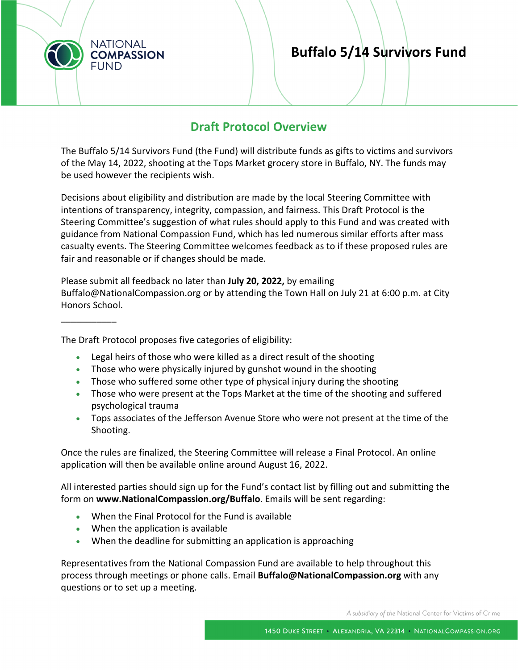

\_\_\_\_\_\_\_\_\_\_\_

# **Buffalo 5/14 Survivors Fund**

# **Draft Protocol Overview**

The Buffalo 5/14 Survivors Fund (the Fund) will distribute funds as gifts to victims and survivors of the May 14, 2022, shooting at the Tops Market grocery store in Buffalo, NY. The funds may be used however the recipients wish.

Decisions about eligibility and distribution are made by the local Steering Committee with intentions of transparency, integrity, compassion, and fairness. This Draft Protocol is the Steering Committee's suggestion of what rules should apply to this Fund and was created with guidance from National Compassion Fund, which has led numerous similar efforts after mass casualty events. The Steering Committee welcomes feedback as to if these proposed rules are fair and reasonable or if changes should be made.

Please submit all feedback no later than **July 20, 2022,** by emailing Buffalo@NationalCompassion.org or by attending the Town Hall on July 21 at 6:00 p.m. at City Honors School.

#### The Draft Protocol proposes five categories of eligibility:

- Legal heirs of those who were killed as a direct result of the shooting
- Those who were physically injured by gunshot wound in the shooting
- Those who suffered some other type of physical injury during the shooting
- Those who were present at the Tops Market at the time of the shooting and suffered psychological trauma
- Tops associates of the Jefferson Avenue Store who were not present at the time of the Shooting.

Once the rules are finalized, the Steering Committee will release a Final Protocol. An online application will then be available online around August 16, 2022.

All interested parties should sign up for the Fund's contact list by filling out and submitting the form on **www.NationalCompassion.org/Buffalo**. Emails will be sent regarding:

- When the Final Protocol for the Fund is available
- When the application is available
- When the deadline for submitting an application is approaching

Representatives from the National Compassion Fund are available to help throughout this process through meetings or phone calls. Email **Buffalo@NationalCompassion.org** with any questions or to set up a meeting.

A subsidiary of the National Center for Victims of Crime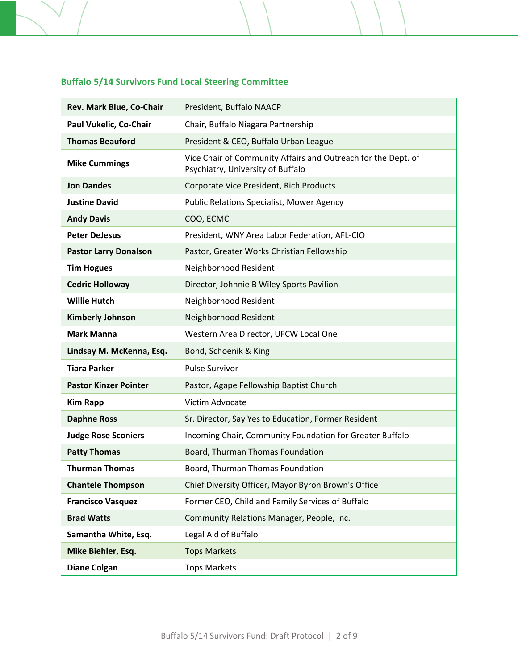# **Buffalo 5/14 Survivors Fund Local Steering Committee**

| Rev. Mark Blue, Co-Chair     | President, Buffalo NAACP                                                                           |
|------------------------------|----------------------------------------------------------------------------------------------------|
| Paul Vukelic, Co-Chair       | Chair, Buffalo Niagara Partnership                                                                 |
| <b>Thomas Beauford</b>       | President & CEO, Buffalo Urban League                                                              |
| <b>Mike Cummings</b>         | Vice Chair of Community Affairs and Outreach for the Dept. of<br>Psychiatry, University of Buffalo |
| <b>Jon Dandes</b>            | Corporate Vice President, Rich Products                                                            |
| <b>Justine David</b>         | <b>Public Relations Specialist, Mower Agency</b>                                                   |
| <b>Andy Davis</b>            | COO, ECMC                                                                                          |
| <b>Peter DeJesus</b>         | President, WNY Area Labor Federation, AFL-CIO                                                      |
| <b>Pastor Larry Donalson</b> | Pastor, Greater Works Christian Fellowship                                                         |
| <b>Tim Hogues</b>            | Neighborhood Resident                                                                              |
| <b>Cedric Holloway</b>       | Director, Johnnie B Wiley Sports Pavilion                                                          |
| <b>Willie Hutch</b>          | Neighborhood Resident                                                                              |
| <b>Kimberly Johnson</b>      | Neighborhood Resident                                                                              |
| <b>Mark Manna</b>            | Western Area Director, UFCW Local One                                                              |
| Lindsay M. McKenna, Esq.     | Bond, Schoenik & King                                                                              |
| <b>Tiara Parker</b>          | <b>Pulse Survivor</b>                                                                              |
| <b>Pastor Kinzer Pointer</b> | Pastor, Agape Fellowship Baptist Church                                                            |
| <b>Kim Rapp</b>              | Victim Advocate                                                                                    |
| <b>Daphne Ross</b>           | Sr. Director, Say Yes to Education, Former Resident                                                |
| <b>Judge Rose Sconiers</b>   | Incoming Chair, Community Foundation for Greater Buffalo                                           |
| <b>Patty Thomas</b>          | Board, Thurman Thomas Foundation                                                                   |
| <b>Thurman Thomas</b>        | Board, Thurman Thomas Foundation                                                                   |
| <b>Chantele Thompson</b>     | Chief Diversity Officer, Mayor Byron Brown's Office                                                |
| <b>Francisco Vasquez</b>     | Former CEO, Child and Family Services of Buffalo                                                   |
| <b>Brad Watts</b>            | Community Relations Manager, People, Inc.                                                          |
| Samantha White, Esq.         | Legal Aid of Buffalo                                                                               |
| Mike Biehler, Esq.           | <b>Tops Markets</b>                                                                                |
| <b>Diane Colgan</b>          | <b>Tops Markets</b>                                                                                |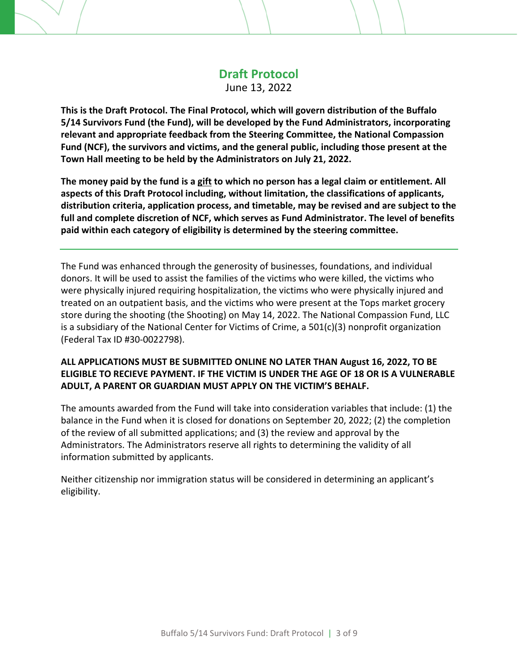# **Draft Protocol**

June 13, 2022

**This is the Draft Protocol. The Final Protocol, which will govern distribution of the Buffalo 5/14 Survivors Fund (the Fund), will be developed by the Fund Administrators, incorporating relevant and appropriate feedback from the Steering Committee, the National Compassion Fund (NCF), the survivors and victims, and the general public, including those present at the Town Hall meeting to be held by the Administrators on July 21, 2022.**

The money paid by the fund is a gift to which no person has a legal claim or entitlement. All **aspects of this Draft Protocol including, without limitation, the classifications of applicants, distribution criteria, application process, and timetable, may be revised and are subject to the full and complete discretion of NCF, which serves as Fund Administrator. The level of benefits paid within each category of eligibility is determined by the steering committee.** 

The Fund was enhanced through the generosity of businesses, foundations, and individual donors. It will be used to assist the families of the victims who were killed, the victims who were physically injured requiring hospitalization, the victims who were physically injured and treated on an outpatient basis, and the victims who were present at the Tops market grocery store during the shooting (the Shooting) on May 14, 2022. The National Compassion Fund, LLC is a subsidiary of the National Center for Victims of Crime, a 501(c)(3) nonprofit organization (Federal Tax ID #30‐0022798).

# **ALL APPLICATIONS MUST BE SUBMITTED ONLINE NO LATER THAN August 16, 2022, TO BE ELIGIBLE TO RECIEVE PAYMENT. IF THE VICTIM IS UNDER THE AGE OF 18 OR IS A VULNERABLE ADULT, A PARENT OR GUARDIAN MUST APPLY ON THE VICTIM'S BEHALF.**

The amounts awarded from the Fund will take into consideration variables that include: (1) the balance in the Fund when it is closed for donations on September 20, 2022; (2) the completion of the review of all submitted applications; and (3) the review and approval by the Administrators. The Administrators reserve all rights to determining the validity of all information submitted by applicants.

Neither citizenship nor immigration status will be considered in determining an applicant's eligibility.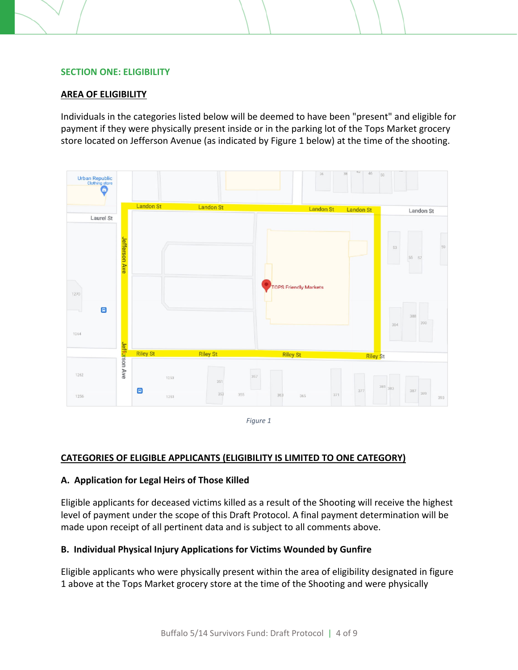#### **SECTION ONE: ELIGIBILITY**

#### **AREA OF ELIGIBILITY**

Individuals in the categories listed below will be deemed to have been "present" and eligible for payment if they were physically present inside or in the parking lot of the Tops Market grocery store located on Jefferson Avenue (as indicated by Figure 1 below) at the time of the shooting.



*Figure 1*

#### **CATEGORIES OF ELIGIBLE APPLICANTS (ELIGIBILITY IS LIMITED TO ONE CATEGORY)**

#### **A. Application for Legal Heirs of Those Killed**

Eligible applicants for deceased victims killed as a result of the Shooting will receive the highest level of payment under the scope of this Draft Protocol. A final payment determination will be made upon receipt of all pertinent data and is subject to all comments above.

#### **B. Individual Physical Injury Applications for Victims Wounded by Gunfire**

Eligible applicants who were physically present within the area of eligibility designated in figure 1 above at the Tops Market grocery store at the time of the Shooting and were physically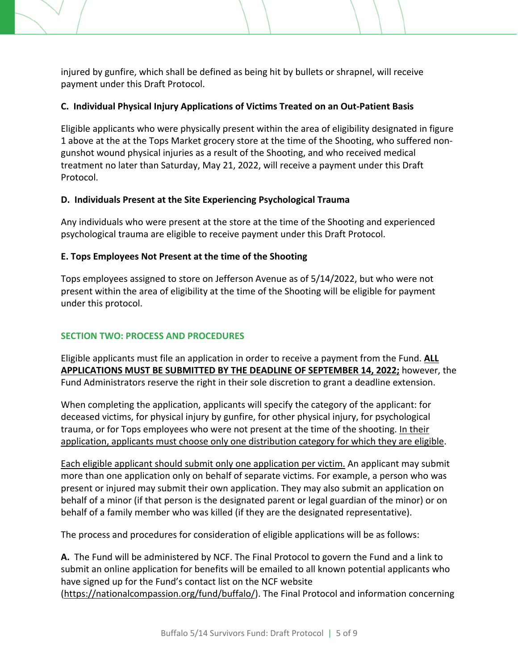injured by gunfire, which shall be defined as being hit by bullets or shrapnel, will receive payment under this Draft Protocol.

## **C. Individual Physical Injury Applications of Victims Treated on an Out‐Patient Basis**

Eligible applicants who were physically present within the area of eligibility designated in figure 1 above at the at the Tops Market grocery store at the time of the Shooting, who suffered non‐ gunshot wound physical injuries as a result of the Shooting, and who received medical treatment no later than Saturday, May 21, 2022, will receive a payment under this Draft Protocol.

#### **D. Individuals Present at the Site Experiencing Psychological Trauma**

Any individuals who were present at the store at the time of the Shooting and experienced psychological trauma are eligible to receive payment under this Draft Protocol.

## **E. Tops Employees Not Present at the time of the Shooting**

Tops employees assigned to store on Jefferson Avenue as of 5/14/2022, but who were not present within the area of eligibility at the time of the Shooting will be eligible for payment under this protocol.

## **SECTION TWO: PROCESS AND PROCEDURES**

Eligible applicants must file an application in order to receive a payment from the Fund. **ALL APPLICATIONS MUST BE SUBMITTED BY THE DEADLINE OF SEPTEMBER 14, 2022;** however, the Fund Administrators reserve the right in their sole discretion to grant a deadline extension.

When completing the application, applicants will specify the category of the applicant: for deceased victims, for physical injury by gunfire, for other physical injury, for psychological trauma, or for Tops employees who were not present at the time of the shooting. In their application, applicants must choose only one distribution category for which they are eligible.

Each eligible applicant should submit only one application per victim. An applicant may submit more than one application only on behalf of separate victims. For example, a person who was present or injured may submit their own application. They may also submit an application on behalf of a minor (if that person is the designated parent or legal guardian of the minor) or on behalf of a family member who was killed (if they are the designated representative).

The process and procedures for consideration of eligible applications will be as follows:

**A.** The Fund will be administered by NCF. The Final Protocol to govern the Fund and a link to submit an online application for benefits will be emailed to all known potential applicants who have signed up for the Fund's contact list on the NCF website (https://nationalcompassion.org/fund/buffalo/). The Final Protocol and information concerning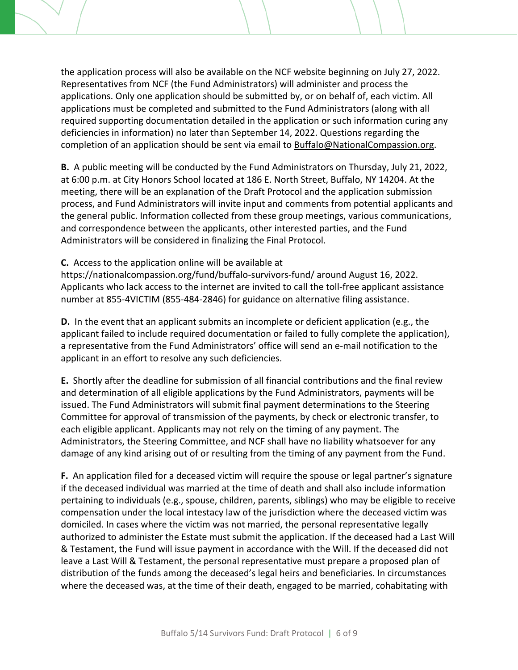the application process will also be available on the NCF website beginning on July 27, 2022. Representatives from NCF (the Fund Administrators) will administer and process the applications. Only one application should be submitted by, or on behalf of, each victim. All applications must be completed and submitted to the Fund Administrators (along with all required supporting documentation detailed in the application or such information curing any deficiencies in information) no later than September 14, 2022. Questions regarding the completion of an application should be sent via email to Buffalo@NationalCompassion.org.

**B.** A public meeting will be conducted by the Fund Administrators on Thursday, July 21, 2022, at 6:00 p.m. at City Honors School located at 186 E. North Street, Buffalo, NY 14204. At the meeting, there will be an explanation of the Draft Protocol and the application submission process, and Fund Administrators will invite input and comments from potential applicants and the general public. Information collected from these group meetings, various communications, and correspondence between the applicants, other interested parties, and the Fund Administrators will be considered in finalizing the Final Protocol.

#### **C.** Access to the application online will be available at

https://nationalcompassion.org/fund/buffalo‐survivors‐fund/ around August 16, 2022. Applicants who lack access to the internet are invited to call the toll‐free applicant assistance number at 855‐4VICTIM (855‐484‐2846) for guidance on alternative filing assistance.

**D.** In the event that an applicant submits an incomplete or deficient application (e.g., the applicant failed to include required documentation or failed to fully complete the application), a representative from the Fund Administrators' office will send an e‐mail notification to the applicant in an effort to resolve any such deficiencies.

**E.** Shortly after the deadline for submission of all financial contributions and the final review and determination of all eligible applications by the Fund Administrators, payments will be issued. The Fund Administrators will submit final payment determinations to the Steering Committee for approval of transmission of the payments, by check or electronic transfer, to each eligible applicant. Applicants may not rely on the timing of any payment. The Administrators, the Steering Committee, and NCF shall have no liability whatsoever for any damage of any kind arising out of or resulting from the timing of any payment from the Fund.

**F.** An application filed for a deceased victim will require the spouse or legal partner's signature if the deceased individual was married at the time of death and shall also include information pertaining to individuals (e.g., spouse, children, parents, siblings) who may be eligible to receive compensation under the local intestacy law of the jurisdiction where the deceased victim was domiciled. In cases where the victim was not married, the personal representative legally authorized to administer the Estate must submit the application. If the deceased had a Last Will & Testament, the Fund will issue payment in accordance with the Will. If the deceased did not leave a Last Will & Testament, the personal representative must prepare a proposed plan of distribution of the funds among the deceased's legal heirs and beneficiaries. In circumstances where the deceased was, at the time of their death, engaged to be married, cohabitating with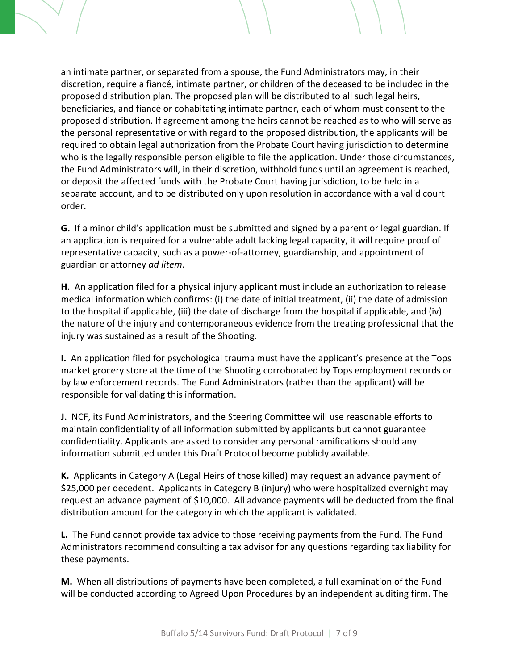an intimate partner, or separated from a spouse, the Fund Administrators may, in their discretion, require a fiancé, intimate partner, or children of the deceased to be included in the proposed distribution plan. The proposed plan will be distributed to all such legal heirs, beneficiaries, and fiancé or cohabitating intimate partner, each of whom must consent to the proposed distribution. If agreement among the heirs cannot be reached as to who will serve as the personal representative or with regard to the proposed distribution, the applicants will be required to obtain legal authorization from the Probate Court having jurisdiction to determine who is the legally responsible person eligible to file the application. Under those circumstances, the Fund Administrators will, in their discretion, withhold funds until an agreement is reached, or deposit the affected funds with the Probate Court having jurisdiction, to be held in a separate account, and to be distributed only upon resolution in accordance with a valid court order.

**G.** If a minor child's application must be submitted and signed by a parent or legal guardian. If an application is required for a vulnerable adult lacking legal capacity, it will require proof of representative capacity, such as a power‐of‐attorney, guardianship, and appointment of guardian or attorney *ad litem*.

**H.** An application filed for a physical injury applicant must include an authorization to release medical information which confirms: (i) the date of initial treatment, (ii) the date of admission to the hospital if applicable, (iii) the date of discharge from the hospital if applicable, and (iv) the nature of the injury and contemporaneous evidence from the treating professional that the injury was sustained as a result of the Shooting.

**I.** An application filed for psychological trauma must have the applicant's presence at the Tops market grocery store at the time of the Shooting corroborated by Tops employment records or by law enforcement records. The Fund Administrators (rather than the applicant) will be responsible for validating this information.

**J.** NCF, its Fund Administrators, and the Steering Committee will use reasonable efforts to maintain confidentiality of all information submitted by applicants but cannot guarantee confidentiality. Applicants are asked to consider any personal ramifications should any information submitted under this Draft Protocol become publicly available.

**K.** Applicants in Category A (Legal Heirs of those killed) may request an advance payment of \$25,000 per decedent. Applicants in Category B (injury) who were hospitalized overnight may request an advance payment of \$10,000. All advance payments will be deducted from the final distribution amount for the category in which the applicant is validated.

**L.** The Fund cannot provide tax advice to those receiving payments from the Fund. The Fund Administrators recommend consulting a tax advisor for any questions regarding tax liability for these payments.

**M.** When all distributions of payments have been completed, a full examination of the Fund will be conducted according to Agreed Upon Procedures by an independent auditing firm. The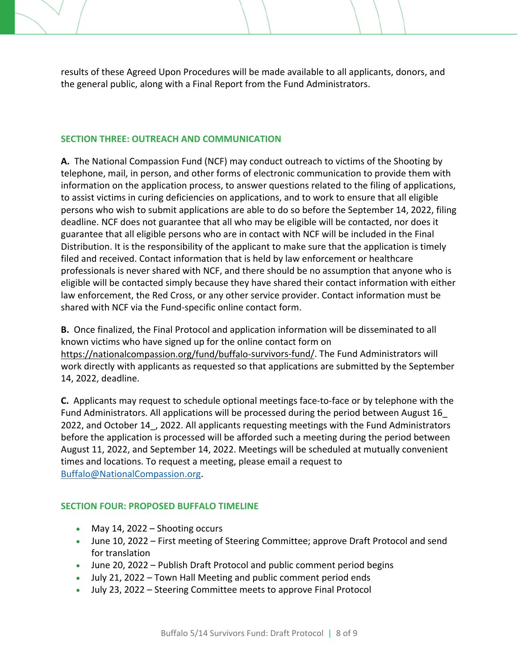results of these Agreed Upon Procedures will be made available to all applicants, donors, and the general public, along with a Final Report from the Fund Administrators.

## **SECTION THREE: OUTREACH AND COMMUNICATION**

**A.** The National Compassion Fund (NCF) may conduct outreach to victims of the Shooting by telephone, mail, in person, and other forms of electronic communication to provide them with information on the application process, to answer questions related to the filing of applications, to assist victims in curing deficiencies on applications, and to work to ensure that all eligible persons who wish to submit applications are able to do so before the September 14, 2022, filing deadline. NCF does not guarantee that all who may be eligible will be contacted, nor does it guarantee that all eligible persons who are in contact with NCF will be included in the Final Distribution. It is the responsibility of the applicant to make sure that the application is timely filed and received. Contact information that is held by law enforcement or healthcare professionals is never shared with NCF, and there should be no assumption that anyone who is eligible will be contacted simply because they have shared their contact information with either law enforcement, the Red Cross, or any other service provider. Contact information must be shared with NCF via the Fund‐specific online contact form.

**B.** Once finalized, the Final Protocol and application information will be disseminated to all known victims who have signed up for the online contact form on https://nationalcompassion.org/fund/buffalo‐survivors‐fund/. The Fund Administrators will work directly with applicants as requested so that applications are submitted by the September 14, 2022, deadline.

**C.** Applicants may request to schedule optional meetings face‐to‐face or by telephone with the Fund Administrators. All applications will be processed during the period between August 16\_ 2022, and October 14, 2022. All applicants requesting meetings with the Fund Administrators before the application is processed will be afforded such a meeting during the period between August 11, 2022, and September 14, 2022. Meetings will be scheduled at mutually convenient times and locations. To request a meeting, please email a request to Buffalo@NationalCompassion.org.

#### **SECTION FOUR: PROPOSED BUFFALO TIMELINE**

- $\bullet$  May 14, 2022 Shooting occurs
- June 10, 2022 First meeting of Steering Committee; approve Draft Protocol and send for translation
- June 20, 2022 Publish Draft Protocol and public comment period begins
- July 21, 2022 Town Hall Meeting and public comment period ends
- July 23, 2022 Steering Committee meets to approve Final Protocol